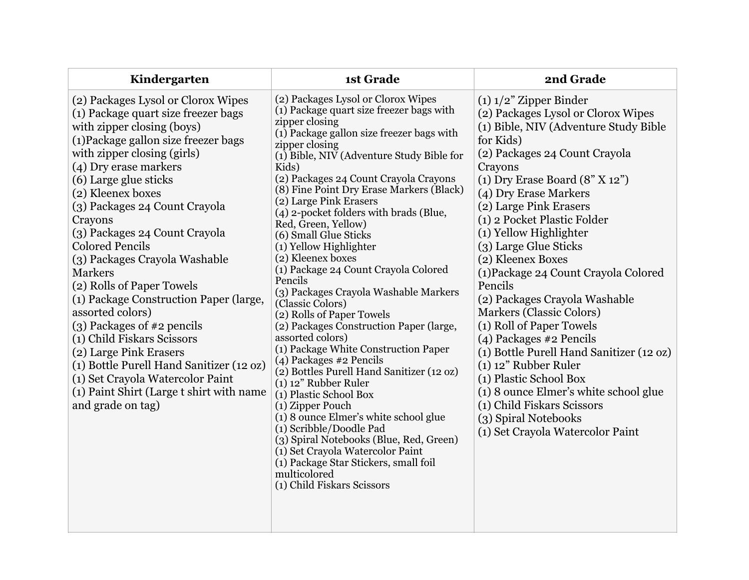| Kindergarten                                                                                                                                                                                                                                                                                                                                                                                                                                                                                                                                                                                                                                                                                                                                        | 1st Grade                                                                                                                                                                                                                                                                                                                                                                                                                                                                                                                                                                                                                                                                                                                                                                                                                                                                                                                                                                                                                                                                                                                   | 2nd Grade                                                                                                                                                                                                                                                                                                                                                                                                                                                                                                                                                                                                                                                                                                                                                                         |
|-----------------------------------------------------------------------------------------------------------------------------------------------------------------------------------------------------------------------------------------------------------------------------------------------------------------------------------------------------------------------------------------------------------------------------------------------------------------------------------------------------------------------------------------------------------------------------------------------------------------------------------------------------------------------------------------------------------------------------------------------------|-----------------------------------------------------------------------------------------------------------------------------------------------------------------------------------------------------------------------------------------------------------------------------------------------------------------------------------------------------------------------------------------------------------------------------------------------------------------------------------------------------------------------------------------------------------------------------------------------------------------------------------------------------------------------------------------------------------------------------------------------------------------------------------------------------------------------------------------------------------------------------------------------------------------------------------------------------------------------------------------------------------------------------------------------------------------------------------------------------------------------------|-----------------------------------------------------------------------------------------------------------------------------------------------------------------------------------------------------------------------------------------------------------------------------------------------------------------------------------------------------------------------------------------------------------------------------------------------------------------------------------------------------------------------------------------------------------------------------------------------------------------------------------------------------------------------------------------------------------------------------------------------------------------------------------|
| (2) Packages Lysol or Clorox Wipes<br>(1) Package quart size freezer bags<br>with zipper closing (boys)<br>(1) Package gallon size freezer bags<br>with zipper closing (girls)<br>(4) Dry erase markers<br>(6) Large glue sticks<br>(2) Kleenex boxes<br>(3) Packages 24 Count Crayola<br>Crayons<br>(3) Packages 24 Count Crayola<br><b>Colored Pencils</b><br>(3) Packages Crayola Washable<br><b>Markers</b><br>(2) Rolls of Paper Towels<br>(1) Package Construction Paper (large,<br>assorted colors)<br>$(3)$ Packages of #2 pencils<br>(1) Child Fiskars Scissors<br>(2) Large Pink Erasers<br>(1) Bottle Purell Hand Sanitizer (12 oz)<br>(1) Set Crayola Watercolor Paint<br>(1) Paint Shirt (Large t shirt with name<br>and grade on tag) | (2) Packages Lysol or Clorox Wipes<br>(1) Package quart size freezer bags with<br>zipper closing<br>(1) Package gallon size freezer bags with<br>zipper closing<br>(1) Bible, NIV (Adventure Study Bible for<br>Kids)<br>(2) Packages 24 Count Crayola Crayons<br>(8) Fine Point Dry Erase Markers (Black)<br>(2) Large Pink Erasers<br>(4) 2-pocket folders with brads (Blue,<br>Red, Green, Yellow)<br>(6) Small Glue Sticks<br>(1) Yellow Highlighter<br>(2) Kleenex boxes<br>(1) Package 24 Count Crayola Colored<br>Pencils<br>(3) Packages Crayola Washable Markers<br>(Classic Colors)<br>(2) Rolls of Paper Towels<br>(2) Packages Construction Paper (large,<br>assorted colors)<br>(1) Package White Construction Paper<br>(4) Packages #2 Pencils<br>(2) Bottles Purell Hand Sanitizer (12 oz)<br>$(1)$ 12" Rubber Ruler<br>(1) Plastic School Box<br>(1) Zipper Pouch<br>(1) 8 ounce Elmer's white school glue<br>(1) Scribble/Doodle Pad<br>(3) Spiral Notebooks (Blue, Red, Green)<br>(1) Set Crayola Watercolor Paint<br>(1) Package Star Stickers, small foil<br>multicolored<br>(1) Child Fiskars Scissors | $(1)$ 1/2" Zipper Binder<br>(2) Packages Lysol or Clorox Wipes<br>(1) Bible, NIV (Adventure Study Bible<br>for Kids)<br>(2) Packages 24 Count Crayola<br>Crayons<br>$(1)$ Dry Erase Board $(8"$ X 12")<br>(4) Dry Erase Markers<br>(2) Large Pink Erasers<br>(1) 2 Pocket Plastic Folder<br>(1) Yellow Highlighter<br>(3) Large Glue Sticks<br>(2) Kleenex Boxes<br>(1) Package 24 Count Crayola Colored<br>Pencils<br>(2) Packages Crayola Washable<br><b>Markers (Classic Colors)</b><br>(1) Roll of Paper Towels<br>(4) Packages #2 Pencils<br>(1) Bottle Purell Hand Sanitizer (12 oz)<br>$(1)$ 12" Rubber Ruler<br>(1) Plastic School Box<br>(1) 8 ounce Elmer's white school glue<br>(1) Child Fiskars Scissors<br>(3) Spiral Notebooks<br>(1) Set Crayola Watercolor Paint |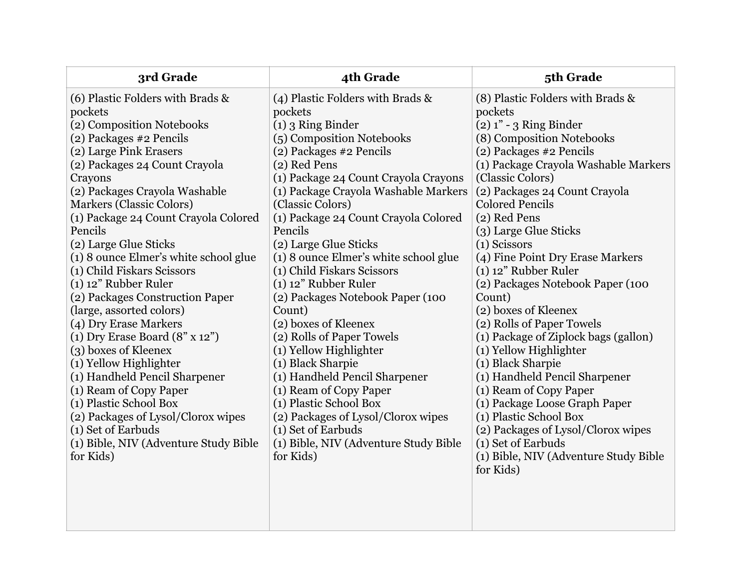| 3rd Grade                                                                                                                                                                                                                                                                                                                                                                                                                                                                                                                                                                                                                                                                                                                                                                                                            | 4th Grade                                                                                                                                                                                                                                                                                                                                                                                                                                                                                                                                                                                                                                                                                                                                                                            | 5th Grade                                                                                                                                                                                                                                                                                                                                                                                                                                                                                                                                                                                                                                                                                                                                                                                                       |
|----------------------------------------------------------------------------------------------------------------------------------------------------------------------------------------------------------------------------------------------------------------------------------------------------------------------------------------------------------------------------------------------------------------------------------------------------------------------------------------------------------------------------------------------------------------------------------------------------------------------------------------------------------------------------------------------------------------------------------------------------------------------------------------------------------------------|--------------------------------------------------------------------------------------------------------------------------------------------------------------------------------------------------------------------------------------------------------------------------------------------------------------------------------------------------------------------------------------------------------------------------------------------------------------------------------------------------------------------------------------------------------------------------------------------------------------------------------------------------------------------------------------------------------------------------------------------------------------------------------------|-----------------------------------------------------------------------------------------------------------------------------------------------------------------------------------------------------------------------------------------------------------------------------------------------------------------------------------------------------------------------------------------------------------------------------------------------------------------------------------------------------------------------------------------------------------------------------------------------------------------------------------------------------------------------------------------------------------------------------------------------------------------------------------------------------------------|
| (6) Plastic Folders with Brads &<br>pockets<br>(2) Composition Notebooks<br>(2) Packages #2 Pencils<br>(2) Large Pink Erasers<br>(2) Packages 24 Count Crayola<br>Crayons<br>(2) Packages Crayola Washable<br><b>Markers (Classic Colors)</b><br>(1) Package 24 Count Crayola Colored<br>Pencils<br>(2) Large Glue Sticks<br>(1) 8 ounce Elmer's white school glue<br>(1) Child Fiskars Scissors<br>$(1)$ 12" Rubber Ruler<br>(2) Packages Construction Paper<br>(large, assorted colors)<br>(4) Dry Erase Markers<br>(1) Dry Erase Board $(8" \times 12")$<br>(3) boxes of Kleenex<br>(1) Yellow Highlighter<br>(1) Handheld Pencil Sharpener<br>(1) Ream of Copy Paper<br>(1) Plastic School Box<br>(2) Packages of Lysol/Clorox wipes<br>(1) Set of Earbuds<br>(1) Bible, NIV (Adventure Study Bible<br>for Kids) | (4) Plastic Folders with Brads &<br>pockets<br>$(1)$ 3 Ring Binder<br>(5) Composition Notebooks<br>(2) Packages #2 Pencils<br>(2) Red Pens<br>(1) Package 24 Count Crayola Crayons<br>(1) Package Crayola Washable Markers<br>(Classic Colors)<br>(1) Package 24 Count Crayola Colored<br>Pencils<br>(2) Large Glue Sticks<br>(1) 8 ounce Elmer's white school glue<br>(1) Child Fiskars Scissors<br>$(1)$ 12" Rubber Ruler<br>(2) Packages Notebook Paper (100<br>Count)<br>(2) boxes of Kleenex<br>(2) Rolls of Paper Towels<br>(1) Yellow Highlighter<br>(1) Black Sharpie<br>(1) Handheld Pencil Sharpener<br>(1) Ream of Copy Paper<br>(1) Plastic School Box<br>(2) Packages of Lysol/Clorox wipes<br>(1) Set of Earbuds<br>(1) Bible, NIV (Adventure Study Bible<br>for Kids) | (8) Plastic Folders with Brads &<br>pockets<br>$(2)$ 1" - 3 Ring Binder<br>(8) Composition Notebooks<br>(2) Packages #2 Pencils<br>(1) Package Crayola Washable Markers<br>(Classic Colors)<br>(2) Packages 24 Count Crayola<br><b>Colored Pencils</b><br>(2) Red Pens<br>(3) Large Glue Sticks<br>(1) Scissors<br>(4) Fine Point Dry Erase Markers<br>$(1)$ 12" Rubber Ruler<br>(2) Packages Notebook Paper (100<br>Count)<br>(2) boxes of Kleenex<br>(2) Rolls of Paper Towels<br>(1) Package of Ziplock bags (gallon)<br>(1) Yellow Highlighter<br>(1) Black Sharpie<br>(1) Handheld Pencil Sharpener<br>(1) Ream of Copy Paper<br>(1) Package Loose Graph Paper<br>(1) Plastic School Box<br>(2) Packages of Lysol/Clorox wipes<br>(1) Set of Earbuds<br>(1) Bible, NIV (Adventure Study Bible<br>for Kids) |
|                                                                                                                                                                                                                                                                                                                                                                                                                                                                                                                                                                                                                                                                                                                                                                                                                      |                                                                                                                                                                                                                                                                                                                                                                                                                                                                                                                                                                                                                                                                                                                                                                                      |                                                                                                                                                                                                                                                                                                                                                                                                                                                                                                                                                                                                                                                                                                                                                                                                                 |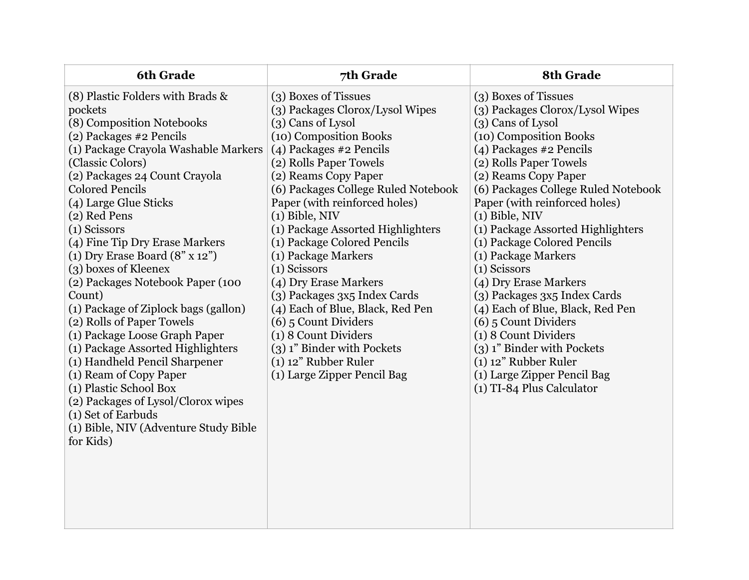| <b>6th Grade</b>                                                                                                                                                                                                                                                                                                                                                                                                                                                                                                                                                                                                                                                                                                                                                                       | 7th Grade                                                                                                                                                                                                                                                                                                                                                                                                                                                                                                                                                                                                                      | 8th Grade                                                                                                                                                                                                                                                                                                                                                                                                                                                                                                                                                                                                                                                     |
|----------------------------------------------------------------------------------------------------------------------------------------------------------------------------------------------------------------------------------------------------------------------------------------------------------------------------------------------------------------------------------------------------------------------------------------------------------------------------------------------------------------------------------------------------------------------------------------------------------------------------------------------------------------------------------------------------------------------------------------------------------------------------------------|--------------------------------------------------------------------------------------------------------------------------------------------------------------------------------------------------------------------------------------------------------------------------------------------------------------------------------------------------------------------------------------------------------------------------------------------------------------------------------------------------------------------------------------------------------------------------------------------------------------------------------|---------------------------------------------------------------------------------------------------------------------------------------------------------------------------------------------------------------------------------------------------------------------------------------------------------------------------------------------------------------------------------------------------------------------------------------------------------------------------------------------------------------------------------------------------------------------------------------------------------------------------------------------------------------|
| (8) Plastic Folders with Brads &<br>pockets<br>(8) Composition Notebooks<br>(2) Packages #2 Pencils<br>(1) Package Crayola Washable Markers<br>(Classic Colors)<br>(2) Packages 24 Count Crayola<br><b>Colored Pencils</b><br>(4) Large Glue Sticks<br>(2) Red Pens<br>(1) Scissors<br>(4) Fine Tip Dry Erase Markers<br>(1) Dry Erase Board $(8" \times 12")$<br>(3) boxes of Kleenex<br>(2) Packages Notebook Paper (100<br>Count)<br>(1) Package of Ziplock bags (gallon)<br>(2) Rolls of Paper Towels<br>(1) Package Loose Graph Paper<br>(1) Package Assorted Highlighters<br>(1) Handheld Pencil Sharpener<br>(1) Ream of Copy Paper<br>(1) Plastic School Box<br>(2) Packages of Lysol/Clorox wipes<br>(1) Set of Earbuds<br>(1) Bible, NIV (Adventure Study Bible<br>for Kids) | (3) Boxes of Tissues<br>(3) Packages Clorox/Lysol Wipes<br>(3) Cans of Lysol<br>(10) Composition Books<br>(4) Packages #2 Pencils<br>(2) Rolls Paper Towels<br>(2) Reams Copy Paper<br>(6) Packages College Ruled Notebook<br>Paper (with reinforced holes)<br>$(1)$ Bible, NIV<br>(1) Package Assorted Highlighters<br>(1) Package Colored Pencils<br>(1) Package Markers<br>(1) Scissors<br>(4) Dry Erase Markers<br>(3) Packages 3x5 Index Cards<br>(4) Each of Blue, Black, Red Pen<br>(6) 5 Count Dividers<br>(1) 8 Count Dividers<br>(3) 1" Binder with Pockets<br>$(1)$ 12" Rubber Ruler<br>(1) Large Zipper Pencil Bag | (3) Boxes of Tissues<br>(3) Packages Clorox/Lysol Wipes<br>(3) Cans of Lysol<br>(10) Composition Books<br>(4) Packages #2 Pencils<br>(2) Rolls Paper Towels<br>(2) Reams Copy Paper<br>(6) Packages College Ruled Notebook<br>Paper (with reinforced holes)<br>$(1)$ Bible, NIV<br>(1) Package Assorted Highlighters<br>(1) Package Colored Pencils<br>(1) Package Markers<br>(1) Scissors<br>(4) Dry Erase Markers<br>(3) Packages 3x5 Index Cards<br>(4) Each of Blue, Black, Red Pen<br>$(6)$ 5 Count Dividers<br>(1) 8 Count Dividers<br>(3) 1" Binder with Pockets<br>$(1)$ 12" Rubber Ruler<br>(1) Large Zipper Pencil Bag<br>(1) TI-84 Plus Calculator |